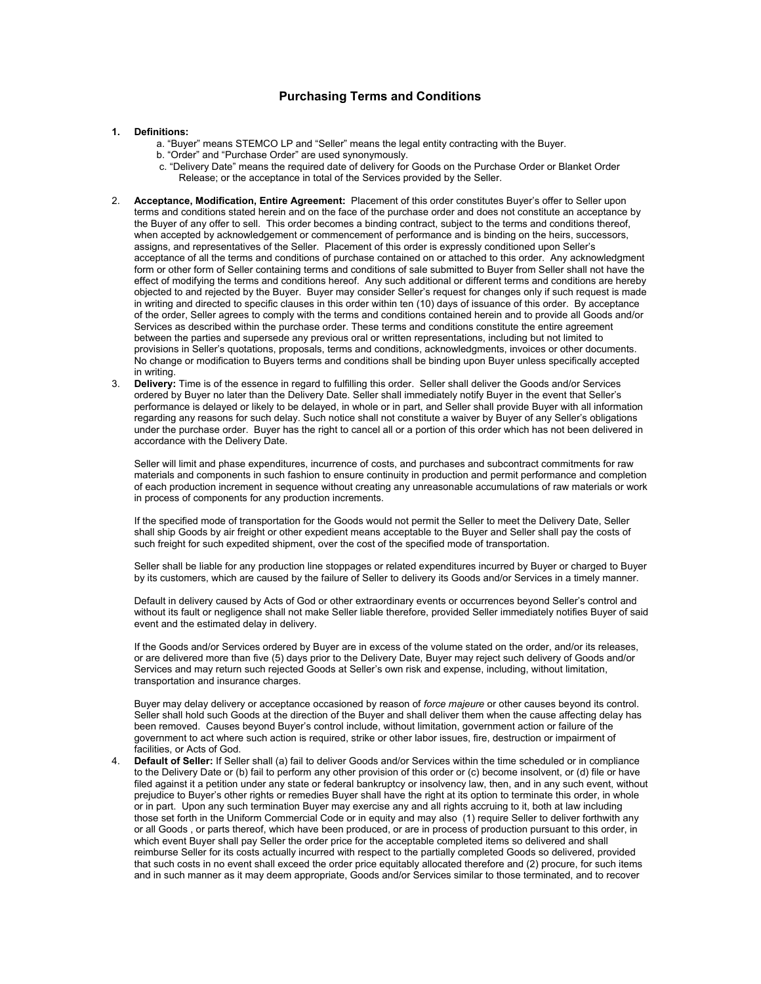## **Purchasing Terms and Conditions**

## **1. Definitions:**

- a. "Buyer" means STEMCO LP and "Seller" means the legal entity contracting with the Buyer.
- b. "Order" and "Purchase Order" are used synonymously.
- c. "Delivery Date" means the required date of delivery for Goods on the Purchase Order or Blanket Order Release; or the acceptance in total of the Services provided by the Seller.
- 2. **Acceptance, Modification, Entire Agreement:** Placement of this order constitutes Buyer's offer to Seller upon terms and conditions stated herein and on the face of the purchase order and does not constitute an acceptance by the Buyer of any offer to sell. This order becomes a binding contract, subject to the terms and conditions thereof, when accepted by acknowledgement or commencement of performance and is binding on the heirs, successors, assigns, and representatives of the Seller. Placement of this order is expressly conditioned upon Seller's acceptance of all the terms and conditions of purchase contained on or attached to this order. Any acknowledgment form or other form of Seller containing terms and conditions of sale submitted to Buyer from Seller shall not have the effect of modifying the terms and conditions hereof. Any such additional or different terms and conditions are hereby objected to and rejected by the Buyer. Buyer may consider Seller's request for changes only if such request is made in writing and directed to specific clauses in this order within ten (10) days of issuance of this order. By acceptance of the order, Seller agrees to comply with the terms and conditions contained herein and to provide all Goods and/or Services as described within the purchase order. These terms and conditions constitute the entire agreement between the parties and supersede any previous oral or written representations, including but not limited to provisions in Seller's quotations, proposals, terms and conditions, acknowledgments, invoices or other documents. No change or modification to Buyers terms and conditions shall be binding upon Buyer unless specifically accepted in writing.
- 3. **Delivery:** Time is of the essence in regard to fulfilling this order. Seller shall deliver the Goods and/or Services ordered by Buyer no later than the Delivery Date. Seller shall immediately notify Buyer in the event that Seller's performance is delayed or likely to be delayed, in whole or in part, and Seller shall provide Buyer with all information regarding any reasons for such delay. Such notice shall not constitute a waiver by Buyer of any Seller's obligations under the purchase order. Buyer has the right to cancel all or a portion of this order which has not been delivered in accordance with the Delivery Date.

Seller will limit and phase expenditures, incurrence of costs, and purchases and subcontract commitments for raw materials and components in such fashion to ensure continuity in production and permit performance and completion of each production increment in sequence without creating any unreasonable accumulations of raw materials or work in process of components for any production increments.

If the specified mode of transportation for the Goods would not permit the Seller to meet the Delivery Date, Seller shall ship Goods by air freight or other expedient means acceptable to the Buyer and Seller shall pay the costs of such freight for such expedited shipment, over the cost of the specified mode of transportation.

Seller shall be liable for any production line stoppages or related expenditures incurred by Buyer or charged to Buyer by its customers, which are caused by the failure of Seller to delivery its Goods and/or Services in a timely manner.

Default in delivery caused by Acts of God or other extraordinary events or occurrences beyond Seller's control and without its fault or negligence shall not make Seller liable therefore, provided Seller immediately notifies Buyer of said event and the estimated delay in delivery.

If the Goods and/or Services ordered by Buyer are in excess of the volume stated on the order, and/or its releases, or are delivered more than five (5) days prior to the Delivery Date, Buyer may reject such delivery of Goods and/or Services and may return such rejected Goods at Seller's own risk and expense, including, without limitation, transportation and insurance charges.

Buyer may delay delivery or acceptance occasioned by reason of *force majeure* or other causes beyond its control. Seller shall hold such Goods at the direction of the Buyer and shall deliver them when the cause affecting delay has been removed. Causes beyond Buyer's control include, without limitation, government action or failure of the government to act where such action is required, strike or other labor issues, fire, destruction or impairment of facilities, or Acts of God.

4. **Default of Seller:** If Seller shall (a) fail to deliver Goods and/or Services within the time scheduled or in compliance to the Delivery Date or (b) fail to perform any other provision of this order or (c) become insolvent, or (d) file or have filed against it a petition under any state or federal bankruptcy or insolvency law, then, and in any such event, without prejudice to Buyer's other rights or remedies Buyer shall have the right at its option to terminate this order, in whole or in part. Upon any such termination Buyer may exercise any and all rights accruing to it, both at law including those set forth in the Uniform Commercial Code or in equity and may also (1) require Seller to deliver forthwith any or all Goods , or parts thereof, which have been produced, or are in process of production pursuant to this order, in which event Buyer shall pay Seller the order price for the acceptable completed items so delivered and shall reimburse Seller for its costs actually incurred with respect to the partially completed Goods so delivered, provided that such costs in no event shall exceed the order price equitably allocated therefore and (2) procure, for such items and in such manner as it may deem appropriate, Goods and/or Services similar to those terminated, and to recover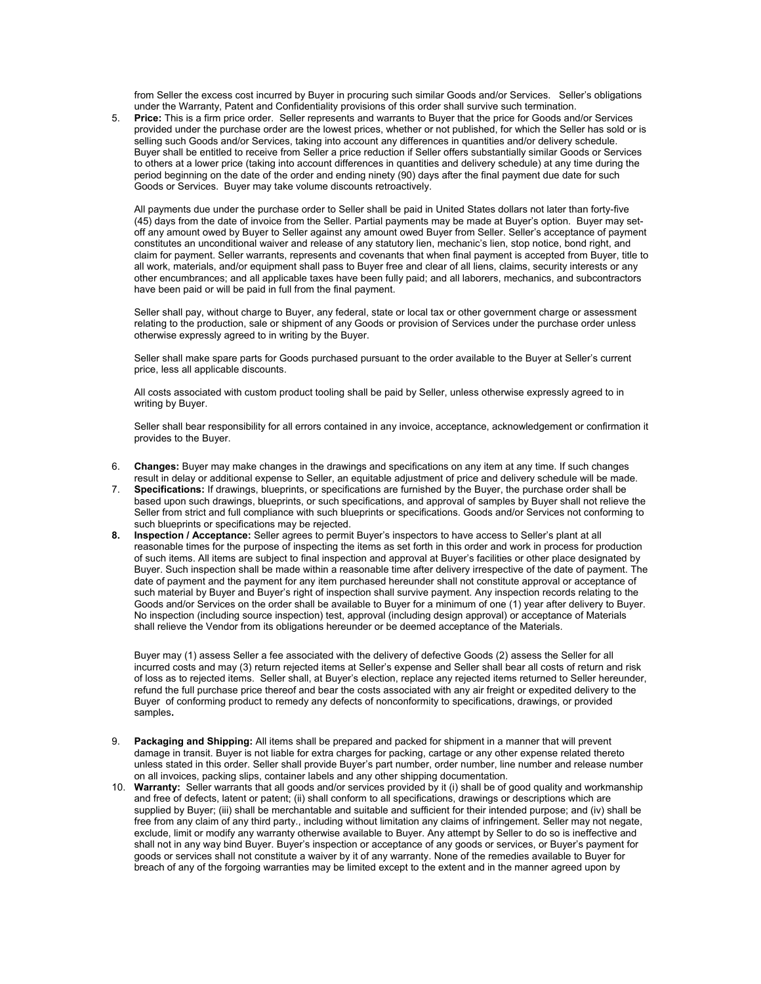from Seller the excess cost incurred by Buyer in procuring such similar Goods and/or Services. Seller's obligations under the Warranty, Patent and Confidentiality provisions of this order shall survive such termination.

5. **Price:** This is a firm price order.Seller represents and warrants to Buyer that the price for Goods and/or Services provided under the purchase order are the lowest prices, whether or not published, for which the Seller has sold or is selling such Goods and/or Services, taking into account any differences in quantities and/or delivery schedule. Buyer shall be entitled to receive from Seller a price reduction if Seller offers substantially similar Goods or Services to others at a lower price (taking into account differences in quantities and delivery schedule) at any time during the period beginning on the date of the order and ending ninety (90) days after the final payment due date for such Goods or Services. Buyer may take volume discounts retroactively.

All payments due under the purchase order to Seller shall be paid in United States dollars not later than forty-five (45) days from the date of invoice from the Seller. Partial payments may be made at Buyer's option. Buyer may setoff any amount owed by Buyer to Seller against any amount owed Buyer from Seller. Seller's acceptance of payment constitutes an unconditional waiver and release of any statutory lien, mechanic's lien, stop notice, bond right, and claim for payment. Seller warrants, represents and covenants that when final payment is accepted from Buyer, title to all work, materials, and/or equipment shall pass to Buyer free and clear of all liens, claims, security interests or any other encumbrances; and all applicable taxes have been fully paid; and all laborers, mechanics, and subcontractors have been paid or will be paid in full from the final payment.

Seller shall pay, without charge to Buyer, any federal, state or local tax or other government charge or assessment relating to the production, sale or shipment of any Goods or provision of Services under the purchase order unless otherwise expressly agreed to in writing by the Buyer.

Seller shall make spare parts for Goods purchased pursuant to the order available to the Buyer at Seller's current price, less all applicable discounts.

All costs associated with custom product tooling shall be paid by Seller, unless otherwise expressly agreed to in writing by Buyer.

Seller shall bear responsibility for all errors contained in any invoice, acceptance, acknowledgement or confirmation it provides to the Buyer.

- 6. **Changes:** Buyer may make changes in the drawings and specifications on any item at any time. If such changes result in delay or additional expense to Seller, an equitable adjustment of price and delivery schedule will be made.
- 7. **Specifications:** If drawings, blueprints, or specifications are furnished by the Buyer, the purchase order shall be based upon such drawings, blueprints, or such specifications, and approval of samples by Buyer shall not relieve the Seller from strict and full compliance with such blueprints or specifications. Goods and/or Services not conforming to such blueprints or specifications may be rejected.
- **8. Inspection / Acceptance:** Seller agrees to permit Buyer's inspectors to have access to Seller's plant at all reasonable times for the purpose of inspecting the items as set forth in this order and work in process for production of such items. All items are subject to final inspection and approval at Buyer's facilities or other place designated by Buyer. Such inspection shall be made within a reasonable time after delivery irrespective of the date of payment. The date of payment and the payment for any item purchased hereunder shall not constitute approval or acceptance of such material by Buyer and Buyer's right of inspection shall survive payment. Any inspection records relating to the Goods and/or Services on the order shall be available to Buyer for a minimum of one (1) year after delivery to Buyer. No inspection (including source inspection) test, approval (including design approval) or acceptance of Materials shall relieve the Vendor from its obligations hereunder or be deemed acceptance of the Materials.

Buyer may (1) assess Seller a fee associated with the delivery of defective Goods (2) assess the Seller for all incurred costs and may (3) return rejected items at Seller's expense and Seller shall bear all costs of return and risk of loss as to rejected items. Seller shall, at Buyer's election, replace any rejected items returned to Seller hereunder, refund the full purchase price thereof and bear the costs associated with any air freight or expedited delivery to the Buyer of conforming product to remedy any defects of nonconformity to specifications, drawings, or provided samples**.** 

- 9. **Packaging and Shipping:** All items shall be prepared and packed for shipment in a manner that will prevent damage in transit. Buyer is not liable for extra charges for packing, cartage or any other expense related thereto unless stated in this order. Seller shall provide Buyer's part number, order number, line number and release number on all invoices, packing slips, container labels and any other shipping documentation.
- 10. **Warranty:** Seller warrants that all goods and/or services provided by it (i) shall be of good quality and workmanship and free of defects, latent or patent; (ii) shall conform to all specifications, drawings or descriptions which are supplied by Buyer; (iii) shall be merchantable and suitable and sufficient for their intended purpose; and (iv) shall be free from any claim of any third party., including without limitation any claims of infringement. Seller may not negate, exclude, limit or modify any warranty otherwise available to Buyer. Any attempt by Seller to do so is ineffective and shall not in any way bind Buyer. Buyer's inspection or acceptance of any goods or services, or Buyer's payment for goods or services shall not constitute a waiver by it of any warranty. None of the remedies available to Buyer for breach of any of the forgoing warranties may be limited except to the extent and in the manner agreed upon by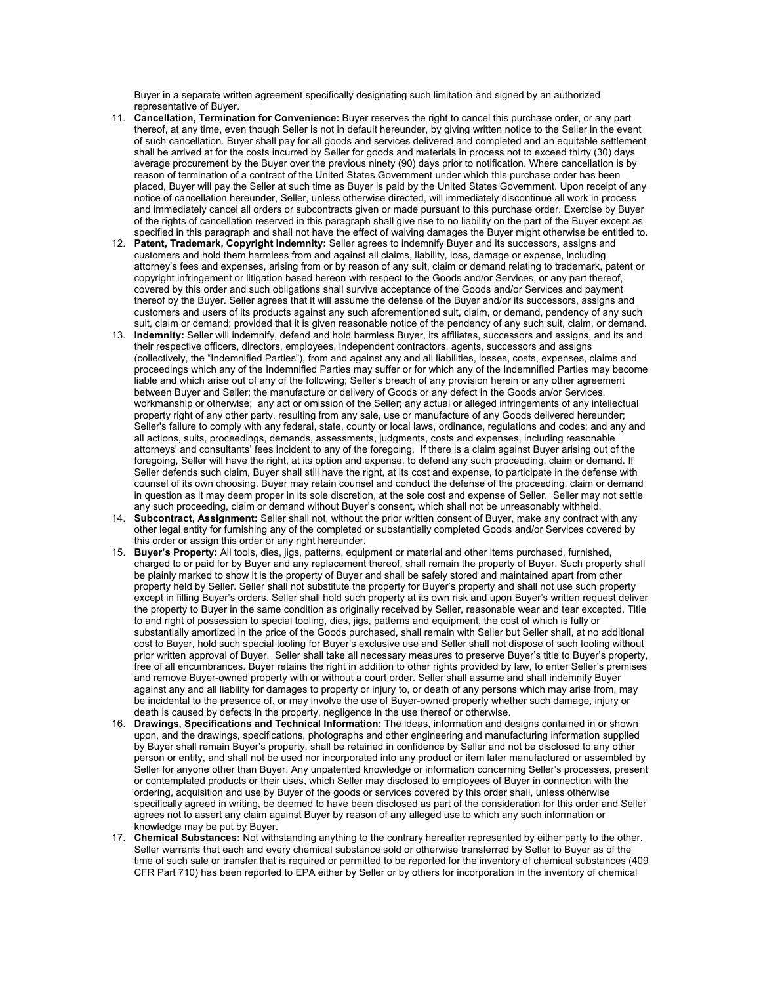Buyer in a separate written agreement specifically designating such limitation and signed by an authorized representative of Buyer.

- 11. **Cancellation, Termination for Convenience:** Buyer reserves the right to cancel this purchase order, or any part thereof, at any time, even though Seller is not in default hereunder, by giving written notice to the Seller in the event of such cancellation. Buyer shall pay for all goods and services delivered and completed and an equitable settlement shall be arrived at for the costs incurred by Seller for goods and materials in process not to exceed thirty (30) days average procurement by the Buyer over the previous ninety (90) days prior to notification. Where cancellation is by reason of termination of a contract of the United States Government under which this purchase order has been placed, Buyer will pay the Seller at such time as Buyer is paid by the United States Government. Upon receipt of any notice of cancellation hereunder, Seller, unless otherwise directed, will immediately discontinue all work in process and immediately cancel all orders or subcontracts given or made pursuant to this purchase order. Exercise by Buyer of the rights of cancellation reserved in this paragraph shall give rise to no liability on the part of the Buyer except as specified in this paragraph and shall not have the effect of waiving damages the Buyer might otherwise be entitled to.
- 12. **Patent, Trademark, Copyright Indemnity:** Seller agrees to indemnify Buyer and its successors, assigns and customers and hold them harmless from and against all claims, liability, loss, damage or expense, including attorney's fees and expenses, arising from or by reason of any suit, claim or demand relating to trademark, patent or copyright infringement or litigation based hereon with respect to the Goods and/or Services, or any part thereof, covered by this order and such obligations shall survive acceptance of the Goods and/or Services and payment thereof by the Buyer. Seller agrees that it will assume the defense of the Buyer and/or its successors, assigns and customers and users of its products against any such aforementioned suit, claim, or demand, pendency of any such suit, claim or demand; provided that it is given reasonable notice of the pendency of any such suit, claim, or demand.
- 13. **Indemnity:** Seller will indemnify, defend and hold harmless Buyer, its affiliates, successors and assigns, and its and their respective officers, directors, employees, independent contractors, agents, successors and assigns (collectively, the "Indemnified Parties"), from and against any and all liabilities, losses, costs, expenses, claims and proceedings which any of the Indemnified Parties may suffer or for which any of the Indemnified Parties may become liable and which arise out of any of the following; Seller's breach of any provision herein or any other agreement between Buyer and Seller; the manufacture or delivery of Goods or any defect in the Goods an/or Services, workmanship or otherwise; any act or omission of the Seller; any actual or alleged infringements of any intellectual property right of any other party, resulting from any sale, use or manufacture of any Goods delivered hereunder; Seller's failure to comply with any federal, state, county or local laws, ordinance, regulations and codes; and any and all actions, suits, proceedings, demands, assessments, judgments, costs and expenses, including reasonable attorneys' and consultants' fees incident to any of the foregoing. If there is a claim against Buyer arising out of the foregoing, Seller will have the right, at its option and expense, to defend any such proceeding, claim or demand. If Seller defends such claim, Buyer shall still have the right, at its cost and expense, to participate in the defense with counsel of its own choosing. Buyer may retain counsel and conduct the defense of the proceeding, claim or demand in question as it may deem proper in its sole discretion, at the sole cost and expense of Seller. Seller may not settle any such proceeding, claim or demand without Buyer's consent, which shall not be unreasonably withheld.
- 14. **Subcontract, Assignment:** Seller shall not, without the prior written consent of Buyer, make any contract with any other legal entity for furnishing any of the completed or substantially completed Goods and/or Services covered by this order or assign this order or any right hereunder.
- 15. **Buyer's Property:** All tools, dies, jigs, patterns, equipment or material and other items purchased, furnished, charged to or paid for by Buyer and any replacement thereof, shall remain the property of Buyer. Such property shall be plainly marked to show it is the property of Buyer and shall be safely stored and maintained apart from other property held by Seller. Seller shall not substitute the property for Buyer's property and shall not use such property except in filling Buyer's orders. Seller shall hold such property at its own risk and upon Buyer's written request deliver the property to Buyer in the same condition as originally received by Seller, reasonable wear and tear excepted. Title to and right of possession to special tooling, dies, jigs, patterns and equipment, the cost of which is fully or substantially amortized in the price of the Goods purchased, shall remain with Seller but Seller shall, at no additional cost to Buyer, hold such special tooling for Buyer's exclusive use and Seller shall not dispose of such tooling without prior written approval of Buyer. Seller shall take all necessary measures to preserve Buyer's title to Buyer's property, free of all encumbrances. Buyer retains the right in addition to other rights provided by law, to enter Seller's premises and remove Buyer-owned property with or without a court order. Seller shall assume and shall indemnify Buyer against any and all liability for damages to property or injury to, or death of any persons which may arise from, may be incidental to the presence of, or may involve the use of Buyer-owned property whether such damage, injury or death is caused by defects in the property, negligence in the use thereof or otherwise.
- 16. **Drawings, Specifications and Technical Information:** The ideas, information and designs contained in or shown upon, and the drawings, specifications, photographs and other engineering and manufacturing information supplied by Buyer shall remain Buyer's property, shall be retained in confidence by Seller and not be disclosed to any other person or entity, and shall not be used nor incorporated into any product or item later manufactured or assembled by Seller for anyone other than Buyer. Any unpatented knowledge or information concerning Seller's processes, present or contemplated products or their uses, which Seller may disclosed to employees of Buyer in connection with the ordering, acquisition and use by Buyer of the goods or services covered by this order shall, unless otherwise specifically agreed in writing, be deemed to have been disclosed as part of the consideration for this order and Seller agrees not to assert any claim against Buyer by reason of any alleged use to which any such information or knowledge may be put by Buyer.
- 17. **Chemical Substances:** Not withstanding anything to the contrary hereafter represented by either party to the other, Seller warrants that each and every chemical substance sold or otherwise transferred by Seller to Buyer as of the time of such sale or transfer that is required or permitted to be reported for the inventory of chemical substances (409 CFR Part 710) has been reported to EPA either by Seller or by others for incorporation in the inventory of chemical